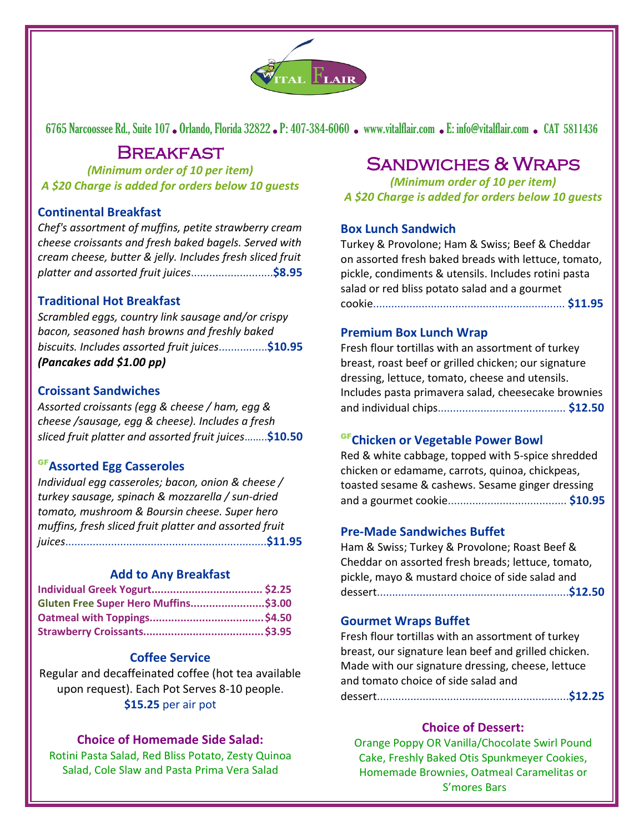

6765 Narcoossee Rd., Suite 107. Orlando, Florida 32822. P: 407-384-6060. [www.vitalflair.com](http://www.vitalflair.com/) . E: info@vitalflair.com . CAT 5811436

# **BREAKFAST**

*(Minimum order of 10 per item) A \$20 Charge is added for orders below 10 guests*

## **Continental Breakfast**

*Chef's assortment of muffins, petite strawberry cream cheese croissants and fresh baked bagels. Served with cream cheese, butter & jelly. Includes fresh sliced fruit platter and assorted fruit juices*...........................**\$8.95**

## **Traditional Hot Breakfast**

*Scrambled eggs, country link sausage and/or crispy bacon, seasoned hash browns and freshly baked biscuits. Includes assorted fruit juices*................**\$10.95** *(Pancakes add \$1.00 pp)*

## **Croissant Sandwiches**

*Assorted croissants (egg & cheese / ham, egg & cheese /sausage, egg & cheese). Includes a fresh sliced fruit platter and assorted fruit juices*……..**\$10.50**

## GF**Assorted Egg Casseroles**

*Individual egg casseroles; bacon, onion & cheese / turkey sausage, spinach & mozzarella / sun-dried tomato, mushroom & Boursin cheese. Super hero muffins, fresh sliced fruit platter and assorted fruit juices*..................................................................**\$11.95**

#### **Add to Any Breakfast**

| Gluten Free Super Hero Muffins\$3.00 |  |
|--------------------------------------|--|
|                                      |  |
|                                      |  |

## **Coffee Service**

Regular and decaffeinated coffee (hot tea available upon request). Each Pot Serves 8-10 people. **\$15.25** per air pot

## **Choice of Homemade Side Salad:**

Rotini Pasta Salad, Red Bliss Potato, Zesty Quinoa Salad, Cole Slaw and Pasta Prima Vera Salad

# Sandwiches & Wraps

*(Minimum order of 10 per item) A \$20 Charge is added for orders below 10 guests*

#### **Box Lunch Sandwich**

Turkey & Provolone; Ham & Swiss; Beef & Cheddar on assorted fresh baked breads with lettuce, tomato, pickle, condiments & utensils. Includes rotini pasta salad or red bliss potato salad and a gourmet cookie............................................................... **\$11.95**

#### **Premium Box Lunch Wrap**

Fresh flour tortillas with an assortment of turkey breast, roast beef or grilled chicken; our signature dressing, lettuce, tomato, cheese and utensils. Includes pasta primavera salad, cheesecake brownies and individual chips.......................................... **\$12.50**

## GF**Chicken or Vegetable Power Bowl**

Red & white cabbage, topped with 5-spice shredded chicken or edamame, carrots, quinoa, chickpeas, toasted sesame & cashews. Sesame ginger dressing and a gourmet cookie....................................... **\$10.95**

## **Pre-Made Sandwiches Buffet**

Ham & Swiss; Turkey & Provolone; Roast Beef & Cheddar on assorted fresh breads; lettuce, tomato, pickle, mayo & mustard choice of side salad and dessert...............................................................**\$12.50**

## **Gourmet Wraps Buffet**

Fresh flour tortillas with an assortment of turkey breast, our signature lean beef and grilled chicken. Made with our signature dressing, cheese, lettuce and tomato choice of side salad and dessert...............................................................**\$12.25**

## **Choice of Dessert:**

Orange Poppy OR Vanilla/Chocolate Swirl Pound Cake, Freshly Baked Otis Spunkmeyer Cookies, Homemade Brownies, Oatmeal Caramelitas or S'mores Bars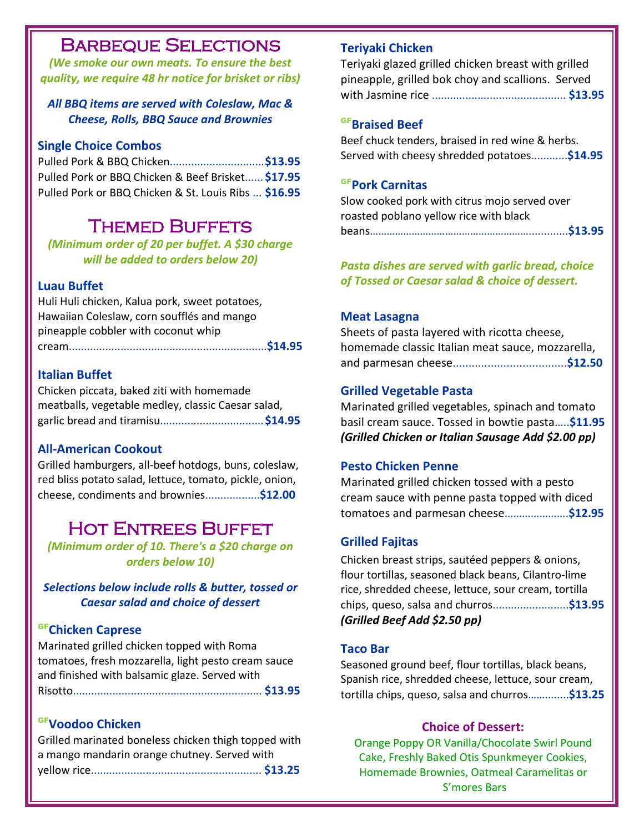## l Barbeque Selections

*(We smoke our own meats. To ensure the best quality, we require 48 hr notice for brisket or ribs)*

## *All BBQ items are served with Coleslaw, Mac & Cheese, Rolls, BBQ Sauce and Brownies*

#### **Single Choice Combos**

Pulled Pork & BBQ Chicken...............................**\$13.95** Pulled Pork or BBQ Chicken & Beef Brisket...... **\$17.95** Pulled Pork or BBQ Chicken & St. Louis Ribs ... **\$16.95**

## Themed Buffets

*(Minimum order of 20 per buffet. A \$30 charge will be added to orders below 20)*

## **Luau Buffet**

Huli Huli chicken, Kalua pork, sweet potatoes, Hawaiian Coleslaw, corn soufflés and mango pineapple cobbler with coconut whip cream.................................................................**\$14.95**

## **Italian Buffet**

Chicken piccata, baked ziti with homemade meatballs, vegetable medley, classic Caesar salad, garlic bread and tiramisu..................................**\$14.95**

## **All-American Cookout**

Grilled hamburgers, all-beef hotdogs, buns, coleslaw, red bliss potato salad, lettuce, tomato, pickle, onion, cheese, condiments and brownies..................**\$12.00**

# Hot Entrees Buffet

*(Minimum order of 10. There's a \$20 charge on orders below 10)*

*Selections below include rolls & butter, tossed or Caesar salad and choice of dessert*

## GF**Chicken Caprese**

Marinated grilled chicken topped with Roma tomatoes, fresh mozzarella, light pesto cream sauce and finished with balsamic glaze. Served with Risotto.............................................................. **\$13.95**

## GF**Voodoo Chicken**

| Grilled marinated boneless chicken thigh topped with |  |
|------------------------------------------------------|--|
| a mango mandarin orange chutney. Served with         |  |
|                                                      |  |

#### **Teriyaki Chicken**

Teriyaki glazed grilled chicken breast with grilled pineapple, grilled bok choy and scallions. Served with Jasmine rice ............................................ **\$13.95**

#### GF**Braised Beef**

Beef chuck tenders, braised in red wine & herbs. Served with cheesy shredded potatoes............**\$14.95**

## GF**Pork Carnitas**

Slow cooked pork with citrus mojo served over roasted poblano yellow rice with black beans………………………………………………….............**\$13.95**

*Pasta dishes are served with garlic bread, choice of Tossed or Caesar salad & choice of dessert.*

#### **Meat Lasagna**

Sheets of pasta layered with ricotta cheese, homemade classic Italian meat sauce, mozzarella, and parmesan cheese....................................**\$12.50**

#### **Grilled Vegetable Pasta**

Marinated grilled vegetables, spinach and tomato basil cream sauce. Tossed in bowtie pasta…..**\$11.95** *(Grilled Chicken or Italian Sausage Add \$2.00 pp)*

#### **Pesto Chicken Penne**

Marinated grilled chicken tossed with a pesto cream sauce with penne pasta topped with diced tomatoes and parmesan cheese………………….**\$12.95**

## **Grilled Fajitas**

Chicken breast strips, sautéed peppers & onions, flour tortillas, seasoned black beans, Cilantro-lime rice, shredded cheese, lettuce, sour cream, tortilla chips, queso, salsa and churros.........................**\$13.95** *(Grilled Beef Add \$2.50 pp)*

#### **Taco Bar**

Seasoned ground beef, flour tortillas, black beans, Spanish rice, shredded cheese, lettuce, sour cream, tortilla chips, queso, salsa and churros……........**\$13.25**

#### **Choice of Dessert:**

Orange Poppy OR Vanilla/Chocolate Swirl Pound Cake, Freshly Baked Otis Spunkmeyer Cookies, Homemade Brownies, Oatmeal Caramelitas or S'mores Bars